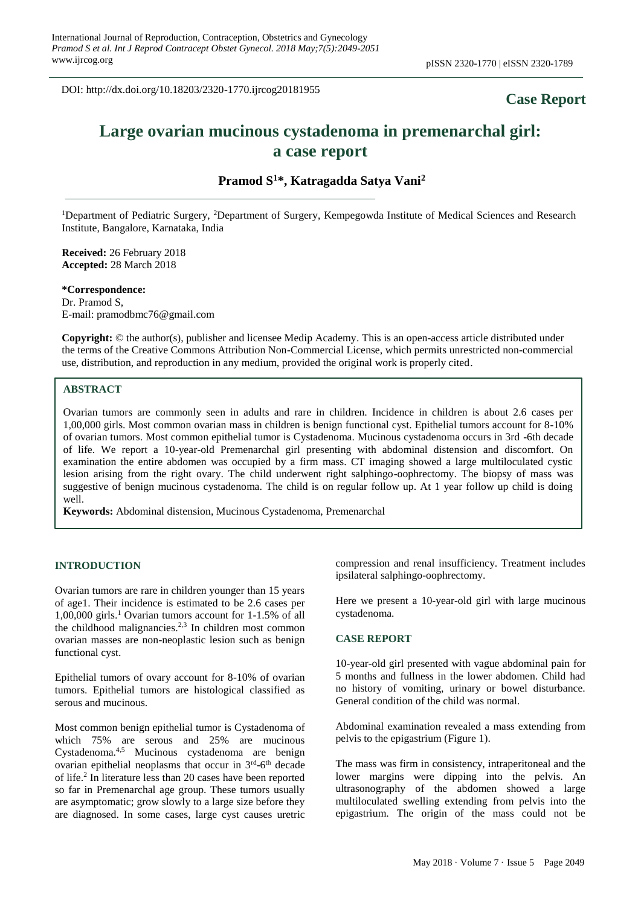DOI: http://dx.doi.org/10.18203/2320-1770.ijrcog20181955

# **Case Report**

# **Large ovarian mucinous cystadenoma in premenarchal girl: a case report**

**Pramod S<sup>1</sup>\*, Katragadda Satya Vani<sup>2</sup>**

<sup>1</sup>Department of Pediatric Surgery, <sup>2</sup>Department of Surgery, Kempegowda Institute of Medical Sciences and Research Institute, Bangalore, Karnataka, India

**Received:** 26 February 2018 **Accepted:** 28 March 2018

**\*Correspondence:** Dr. Pramod S, E-mail: pramodbmc76@gmail.com

**Copyright:** © the author(s), publisher and licensee Medip Academy. This is an open-access article distributed under the terms of the Creative Commons Attribution Non-Commercial License, which permits unrestricted non-commercial use, distribution, and reproduction in any medium, provided the original work is properly cited.

# **ABSTRACT**

Ovarian tumors are commonly seen in adults and rare in children. Incidence in children is about 2.6 cases per 1,00,000 girls. Most common ovarian mass in children is benign functional cyst. Epithelial tumors account for 8-10% of ovarian tumors. Most common epithelial tumor is Cystadenoma. Mucinous cystadenoma occurs in 3rd -6th decade of life. We report a 10-year-old Premenarchal girl presenting with abdominal distension and discomfort. On examination the entire abdomen was occupied by a firm mass. CT imaging showed a large multiloculated cystic lesion arising from the right ovary. The child underwent right salphingo-oophrectomy. The biopsy of mass was suggestive of benign mucinous cystadenoma. The child is on regular follow up. At 1 year follow up child is doing well.

**Keywords:** Abdominal distension, Mucinous Cystadenoma, Premenarchal

# **INTRODUCTION**

Ovarian tumors are rare in children younger than 15 years of age1. Their incidence is estimated to be 2.6 cases per 1,00,000 girls. <sup>1</sup> Ovarian tumors account for 1-1.5% of all the childhood malignancies. 2,3 In children most common ovarian masses are non-neoplastic lesion such as benign functional cyst.

Epithelial tumors of ovary account for 8-10% of ovarian tumors. Epithelial tumors are histological classified as serous and mucinous.

Most common benign epithelial tumor is Cystadenoma of which 75% are serous and 25% are mucinous Cystadenoma. 4,5 Mucinous cystadenoma are benign ovarian epithelial neoplasms that occur in  $3<sup>rd</sup>$ -6<sup>th</sup> decade of life. 2 In literature less than 20 cases have been reported so far in Premenarchal age group. These tumors usually are asymptomatic; grow slowly to a large size before they are diagnosed. In some cases, large cyst causes uretric compression and renal insufficiency. Treatment includes ipsilateral salphingo-oophrectomy.

Here we present a 10-year-old girl with large mucinous cystadenoma.

#### **CASE REPORT**

10-year-old girl presented with vague abdominal pain for 5 months and fullness in the lower abdomen. Child had no history of vomiting, urinary or bowel disturbance. General condition of the child was normal.

Abdominal examination revealed a mass extending from pelvis to the epigastrium (Figure 1).

The mass was firm in consistency, intraperitoneal and the lower margins were dipping into the pelvis. An ultrasonography of the abdomen showed a large multiloculated swelling extending from pelvis into the epigastrium. The origin of the mass could not be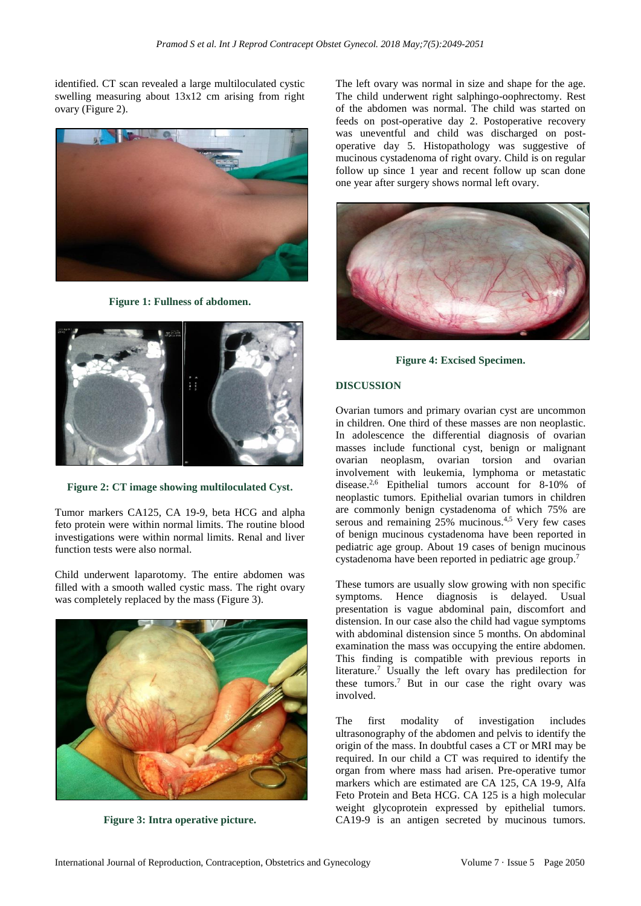identified. CT scan revealed a large multiloculated cystic swelling measuring about 13x12 cm arising from right ovary (Figure 2).



**Figure 1: Fullness of abdomen.**



**Figure 2: CT image showing multiloculated Cyst.**

Tumor markers CA125, CA 19-9, beta HCG and alpha feto protein were within normal limits. The routine blood investigations were within normal limits. Renal and liver function tests were also normal.

Child underwent laparotomy. The entire abdomen was filled with a smooth walled cystic mass. The right ovary was completely replaced by the mass (Figure 3).



**Figure 3: Intra operative picture.**

The left ovary was normal in size and shape for the age. The child underwent right salphingo-oophrectomy. Rest of the abdomen was normal. The child was started on feeds on post-operative day 2. Postoperative recovery was uneventful and child was discharged on postoperative day 5. Histopathology was suggestive of mucinous cystadenoma of right ovary. Child is on regular follow up since 1 year and recent follow up scan done one year after surgery shows normal left ovary.



**Figure 4: Excised Specimen.**

## **DISCUSSION**

Ovarian tumors and primary ovarian cyst are uncommon in children. One third of these masses are non neoplastic. In adolescence the differential diagnosis of ovarian masses include functional cyst, benign or malignant ovarian neoplasm, ovarian torsion and ovarian involvement with leukemia, lymphoma or metastatic disease. 2,6 Epithelial tumors account for 8-10% of neoplastic tumors. Epithelial ovarian tumors in children are commonly benign cystadenoma of which 75% are serous and remaining 25% mucinous.<sup>4,5</sup> Very few cases of benign mucinous cystadenoma have been reported in pediatric age group. About 19 cases of benign mucinous cystadenoma have been reported in pediatric age group.<sup>7</sup>

These tumors are usually slow growing with non specific symptoms. Hence diagnosis is delayed. Usual presentation is vague abdominal pain, discomfort and distension. In our case also the child had vague symptoms with abdominal distension since 5 months. On abdominal examination the mass was occupying the entire abdomen. This finding is compatible with previous reports in literature.<sup>7</sup> Usually the left ovary has predilection for these tumors.<sup>7</sup> But in our case the right ovary was involved.

The first modality of investigation includes ultrasonography of the abdomen and pelvis to identify the origin of the mass. In doubtful cases a CT or MRI may be required. In our child a CT was required to identify the organ from where mass had arisen. Pre-operative tumor markers which are estimated are CA 125, CA 19-9, Alfa Feto Protein and Beta HCG. CA 125 is a high molecular weight glycoprotein expressed by epithelial tumors. CA19-9 is an antigen secreted by mucinous tumors.